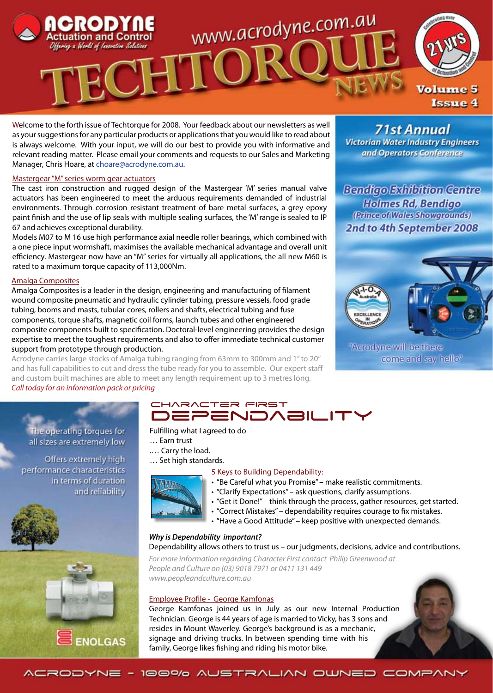

Welcome to the forth issue of Techtorque for 2008. Your feedback about our newsletters as well as your suggestions for any particular products or applications that you would like to read about is always welcome. With your input, we will do our best to provide you with informative and relevant reading matter. Please email your comments and requests to our Sales and Marketing Manager, Chris Hoare, at choare@acrodyne.com.au.

### Mastergear "M" series worm gear actuators

The cast iron construction and rugged design of the Mastergear 'M' series manual valve actuators has been engineered to meet the arduous requirements demanded of industrial environments. Through corrosion resistant treatment of bare metal surfaces, a grey epoxy paint finish and the use of lip seals with multiple sealing surfaces, the 'M' range is sealed to IP 67 and achieves exceptional durability.

Models M07 to M 16 use high performance axial needle roller bearings, which combined with a one piece input wormshaft, maximises the available mechanical advantage and overall unit efficiency. Mastergear now have an "M" series for virtually all applications, the all new M60 is rated to a maximum torque capacity of 113,000Nm.

### Amalga Composites

Amalga Composites is a leader in the design, engineering and manufacturing of filament wound composite pneumatic and hydraulic cylinder tubing, pressure vessels, food grade tubing, booms and masts, tubular cores, rollers and shafts, electrical tubing and fuse components, torque shafts, magnetic coil forms, launch tubes and other engineered composite components built to specification. Doctoral-level engineering provides the design expertise to meet the toughest requirements and also to offer immediate technical customer support from prototype through production.

Acrodyne carries large stocks of Amalga tubing ranging from 63mm to 300mm and 1" to 20" and has full capabilities to cut and dress the tube ready for you to assemble. Our expert staff and custom built machines are able to meet any length requirement up to 3 metres long. *Call today for an information pack or pricing*

**71st Annual Victorian Water Industry Engineers** and Operators Conference

**Bendigo Exhibition Centre Holmes Rd, Bendigo** (Prince of Wales Showgrounds) 2nd to 4th September 2008



"Acrodyne will be there come and say hello"

The operating torques for all sizes are extremely low

Offers extremely high performance characteristics in terms of duration and reliability



### CHARACTER FIRST **DEPENDABILI**

### Fulfilling what I agreed to do

- … Earn trust
- .… Carry the load.
- … Set high standards.

### 5 Keys to Building Dependability:

- "Be Careful what you Promise" make realistic commitments.
- "Clarify Expectations" ask questions, clarify assumptions.
- "Get it Done!" think through the process, gather resources, get started.
- "Correct Mistakes" dependability requires courage to fix mistakes.
- "Have a Good Attitude" keep positive with unexpected demands.

### *Why is Dependability important?*

### Dependability allows others to trust us – our judgments, decisions, advice and contributions.

*For more information regarding Character First contact Philip Greenwood at People and Culture on (03) 9018 7971 or 0411 131 449 www.peopleandculture.com.au*

### Employee Profile - George Kamfonas

George Kamfonas joined us in July as our new Internal Production Technician. George is 44 years of age is married to Vicky, has 3 sons and resides in Mount Waverley. George's background is as a mechanic, signage and driving trucks. In between spending time with his family, George likes fishing and riding his motor bike.

ACRODYNE - 100% AUSTRALIAN OWNED COMPANY